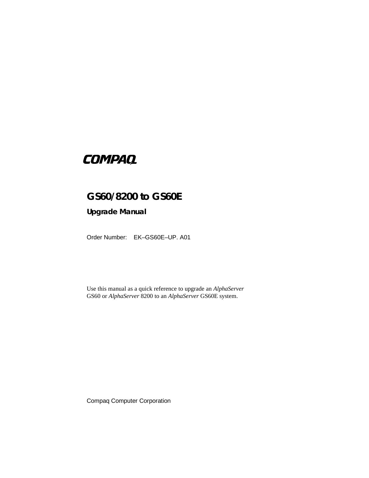# **COMPAQ**

# **GS60/8200 to GS60E**

## **Upgrade Manual**

Order Number: EK–GS60E–UP. A01

Use this manual as a quick reference to upgrade an *AlphaServer* GS60 or *AlphaServer* 8200 to an *AlphaServer* GS60E system.

Compaq Computer Corporation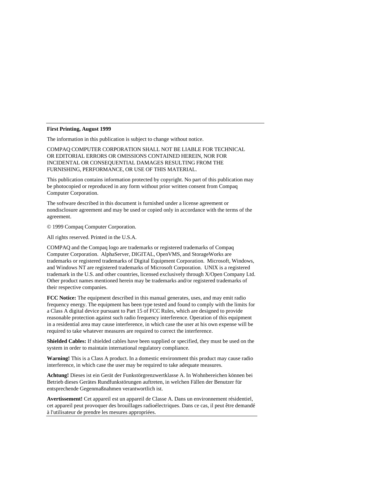#### **First Printing, August 1999**

The information in this publication is subject to change without notice.

COMPAQ COMPUTER CORPORATION SHALL NOT BE LIABLE FOR TECHNICAL OR EDITORIAL ERRORS OR OMISSIONS CONTAINED HEREIN, NOR FOR INCIDENTAL OR CONSEQUENTIAL DAMAGES RESULTING FROM THE FURNISHING, PERFORMANCE, OR USE OF THIS MATERIAL.

This publication contains information protected by copyright. No part of this publication may be photocopied or reproduced in any form without prior written consent from Compaq Computer Corporation.

The software described in this document is furnished under a license agreement or nondisclosure agreement and may be used or copied only in accordance with the terms of the agreement.

© 1999 Compaq Computer Corporation.

All rights reserved. Printed in the U.S.A.

COMPAQ and the Compaq logo are trademarks or registered trademarks of Compaq Computer Corporation. AlphaServer, DIGITAL, OpenVMS, and StorageWorks are trademarks or registered trademarks of Digital Equipment Corporation. Microsoft, Windows, and Windows NT are registered trademarks of Microsoft Corporation. UNIX is a registered trademark in the U.S. and other countries, licensed exclusively through X/Open Company Ltd. Other product names mentioned herein may be trademarks and/or registered trademarks of their respective companies.

**FCC Notice:** The equipment described in this manual generates, uses, and may emit radio frequency energy. The equipment has been type tested and found to comply with the limits for a Class A digital device pursuant to Part 15 of FCC Rules, which are designed to provide reasonable protection against such radio frequency interference. Operation of this equipment in a residential area may cause interference, in which case the user at his own expense will be required to take whatever measures are required to correct the interference.

**Shielded Cables:** If shielded cables have been supplied or specified, they must be used on the system in order to maintain international regulatory compliance.

**Warning!** This is a Class A product. In a domestic environment this product may cause radio interference, in which case the user may be required to take adequate measures.

**Achtung!** Dieses ist ein Gerät der Funkstörgrenzwertklasse A. In Wohnbereichen können bei Betrieb dieses Gerätes Rundfunkstörungen auftreten, in welchen Fällen der Benutzer für entsprechende Gegenmaßnahmen verantwortlich ist.

**Avertissement!** Cet appareil est un appareil de Classe A. Dans un environnement résidentiel, cet appareil peut provoquer des brouillages radioélectriques. Dans ce cas, il peut être demandé à l'utilisateur de prendre les mesures appropriées.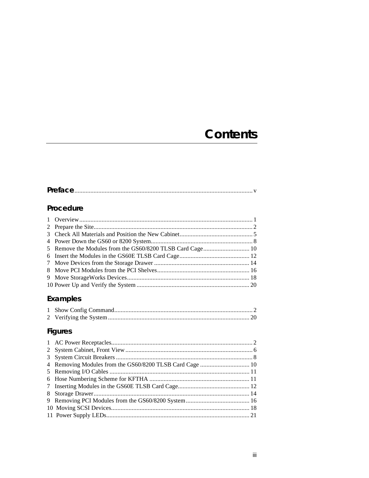# **Contents**

|--|

# Procedure

| 5 Remove the Modules from the GS60/8200 TLSB Card Cage 10 |  |
|-----------------------------------------------------------|--|
|                                                           |  |
|                                                           |  |
|                                                           |  |
|                                                           |  |
|                                                           |  |
|                                                           |  |

# Examples

# Figures

| 7 |  |
|---|--|
|   |  |
|   |  |
|   |  |
|   |  |
|   |  |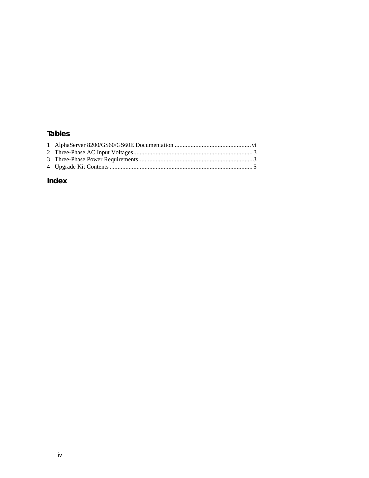## **Tables**

# **Index**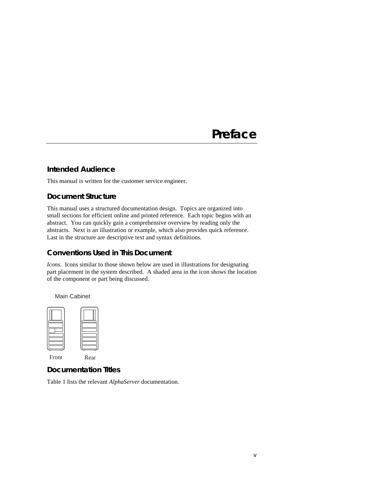# **Preface**

#### **Intended Audience**

This manual is written for the customer service engineer.

#### **Document Structure**

This manual uses a structured documentation design. Topics are organized into small sections for efficient online and printed reference. Each topic begins with an abstract. You can quickly gain a comprehensive overview by reading only the abstracts. Next is an illustration or example, which also provides quick reference. Last in the structure are descriptive text and syntax definitions.

#### **Conventions Used in This Document**

*Icons*. Icons similar to those shown below are used in illustrations for designating part placement in the system described. A shaded area in the icon shows the location of the component or part being discussed.



Main Cabinet

Front Rear

### **Documentation Titles**

Table 1 lists the relevant *AlphaServer* documentation.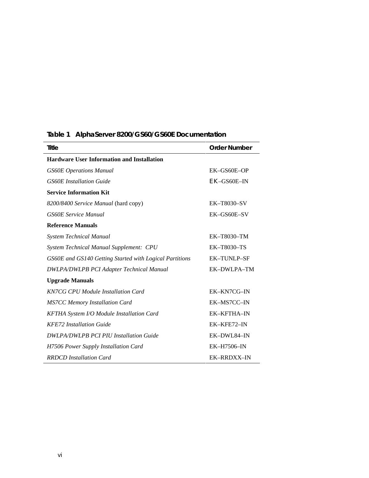| Title                                                   | <b>Order Number</b> |
|---------------------------------------------------------|---------------------|
| <b>Hardware User Information and Installation</b>       |                     |
| <b>GS60E</b> Operations Manual                          | EK-GS60E-OP         |
| <b>GS60E</b> Installation Guide                         | EK-GS60E-IN         |
| <b>Service Information Kit</b>                          |                     |
| 8200/8400 Service Manual (hard copy)                    | EK-T8030-SV         |
| <b>GS60E Service Manual</b>                             | EK-GS60E-SV         |
| <b>Reference Manuals</b>                                |                     |
| <b>System Technical Manual</b>                          | EK-T8030-TM         |
| System Technical Manual Supplement: CPU                 | <b>EK-T8030-TS</b>  |
| GS60E and GS140 Getting Started with Logical Partitions | <b>EK-TUNLP-SF</b>  |
| <b>DWLPA/DWLPB PCI Adapter Technical Manual</b>         | EK-DWLPA-TM         |
| <b>Upgrade Manuals</b>                                  |                     |
| <b>KN7CG CPU Module Installation Card</b>               | EK-KN7CG-IN         |
| <b>MS7CC Memory Installation Card</b>                   | EK-MS7CC-IN         |
| <b>KFTHA System I/O Module Installation Card</b>        | <b>EK-KFTHA-IN</b>  |
| <b>KFE72</b> Installation Guide                         | EK-KFE72-IN         |
| <b>DWLPA/DWLPB PCI PIU Installation Guide</b>           | EK-DWL84-IN         |
| H7506 Power Supply Installation Card                    | EK-H7506-IN         |
| <b>RRDCD</b> Installation Card                          | <b>EK-RRDXX-IN</b>  |

# **Table 1 AlphaServer 8200/GS60/GS60E Documentation**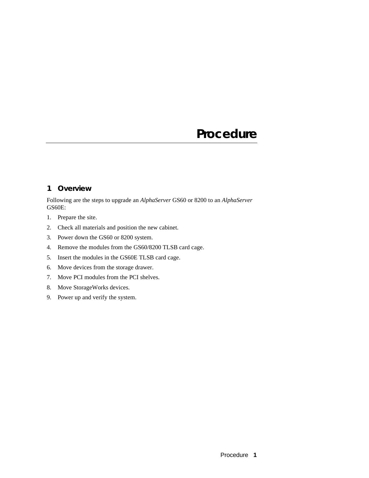# **Procedure**

## **1 Overview**

Following are the steps to upgrade an *AlphaServer* GS60 or 8200 to an *AlphaServer* GS60E:

- 1. Prepare the site.
- 2. Check all materials and position the new cabinet.
- 3. Power down the GS60 or 8200 system.
- 4. Remove the modules from the GS60/8200 TLSB card cage.
- 5. Insert the modules in the GS60E TLSB card cage.
- 6. Move devices from the storage drawer.
- 7. Move PCI modules from the PCI shelves.
- 8. Move StorageWorks devices.
- 9. Power up and verify the system.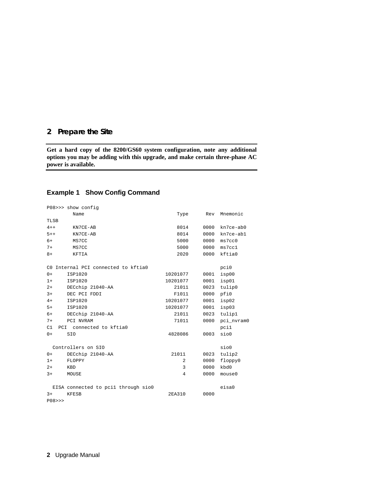#### **2 Prepare the Site**

**Get a hard copy of the 8200/GS60 system configuration, note any additional options you may be adding with this upgrade, and make certain three-phase AC power is available.**

#### **Example 1 Show Config Command**

|                                       | P08>>> show config                  |          |      |            |
|---------------------------------------|-------------------------------------|----------|------|------------|
|                                       | Name                                | Type     | Rev  | Mnemonic   |
| TLSB                                  |                                     |          |      |            |
| $4 + +$                               | KN7CE-AB                            | 8014     | 0000 | kn7ce-ab0  |
| $5 + +$                               | KN7CE-AB                            | 8014     | 0000 | kn7ce-ab1  |
| $6+$                                  | MS7CC                               | 5000     | 0000 | ms7cc0     |
| $7+$                                  | MS7CC                               | 5000     | 0000 | ms7cc1     |
| $8+$                                  | KFTIA                               | 2020     | 0000 | kftia0     |
|                                       | CO Internal PCI connected to kftia0 |          |      | pci0       |
| $0+$                                  | ISP1020                             | 10201077 | 0001 | isp00      |
| $1+$                                  | ISP1020                             | 10201077 | 0001 | isp01      |
| $2+$                                  | DECchip 21040-AA                    | 21011    | 0023 | tulip0     |
| $3+$                                  | DEC PCI FDDI                        | F1011    | 0000 | pfi0       |
| $4+$                                  | ISP1020                             | 10201077 | 0001 | isp02      |
| $5+$                                  | ISP1020                             | 10201077 | 0001 | isp03      |
| $6+$                                  | DECchip 21040-AA                    | 21011    | 0023 | tulip1     |
| $7+$                                  | PCI NVRAM                           | 71011    | 0000 | pci_nvram0 |
| C1<br>PCI connected to kftia0<br>pci1 |                                     |          |      |            |
| $0+$                                  | SIO                                 | 4828086  | 0003 | sio0       |
|                                       | Controllers on SIO                  |          |      | sioO       |
| $0+$                                  | DECchip 21040-AA                    | 21011    | 0023 | tulip2     |
| $1+$                                  | FLOPPY                              | 2        | 0000 | floppy0    |
| $2+$                                  | <b>KBD</b>                          | 3        | 0000 | kbd0       |
| $3+$                                  | MOUSE                               | 4        | 0000 | mouse0     |
|                                       | EISA connected to pcil through sio0 |          |      | eisa0      |
| $3+$                                  | <b>KFESB</b>                        | 2EA310   | 0000 |            |
| P(08>>                                |                                     |          |      |            |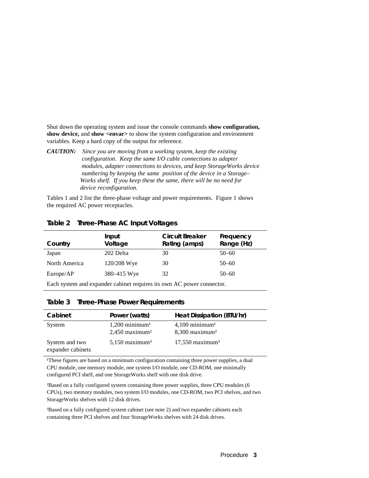Shut down the operating system and issue the console commands **show configuration, show device,** and **show <envar>** to show the system configuration and environment variables. Keep a hard copy of the output for reference.

*CAUTION: Since you are moving from a working system, keep the existing configuration. Keep the same I/O cable connections to adapter modules, adapter connections to devices, and keep StorageWorks device numbering by keeping the same position of the device in a Storage– Works shelf. If you keep these the same, there will be no need for device reconfiguration.*

Tables 1 and 2 list the three-phase voltage and power requirements. Figure 1 shows the required AC power receptacles.

| Country                                                               | Input<br>Voltage | Circuit Breaker<br>Rating (amps) | Frequency<br>Range (Hz) |
|-----------------------------------------------------------------------|------------------|----------------------------------|-------------------------|
| Japan                                                                 | 202 Delta        | 30                               | $50 - 60$               |
| North America                                                         | 120/208 Wye      | 30                               | $50 - 60$               |
| Europe/AP                                                             | 380–415 Wye      | 32                               | $50 - 60$               |
| Each system and expander cabinet requires its own AC power connector. |                  |                                  |                         |

#### **Table 2 Three-Phase AC Input Voltages**

#### **Table 3 Three-Phase Power Requirements**

| Cabinet                             | Power (watts)                                                | Heat Dissipation (BTU/hr)                                    |
|-------------------------------------|--------------------------------------------------------------|--------------------------------------------------------------|
| System                              | $1,200$ minimum <sup>1</sup><br>$2,450$ maximum <sup>2</sup> | $4,100$ minimum <sup>1</sup><br>$8,300$ maximum <sup>2</sup> |
| System and two<br>expander cabinets | $5,150$ maximum <sup>3</sup>                                 | $17,550$ maximum <sup>3</sup>                                |

<sup>1</sup>These figures are based on a minimum configuration containing three power supplies, a dual CPU module, one memory module, one system I/O module, one CD-ROM, one minimally configured PCI shelf, and one StorageWorks shelf with one disk drive.

²Based on a fully configured system containing three power supplies, three CPU modules (6 CPUs), two memory modules, two system I/O modules, one CD-ROM, two PCI shelves, and two StorageWorks shelves with 12 disk drives.

³Based on a fully configured system cabinet (see note 2) and two expander cabinets each containing three PCI shelves and four StorageWorks shelves with 24 disk drives.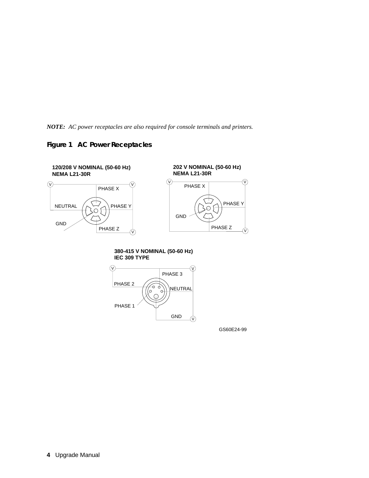*NOTE: AC power receptacles are also required for console terminals and printers.*





**380-415 V NOMINAL (50-60 Hz) IEC 309 TYPE**



GS60E24-99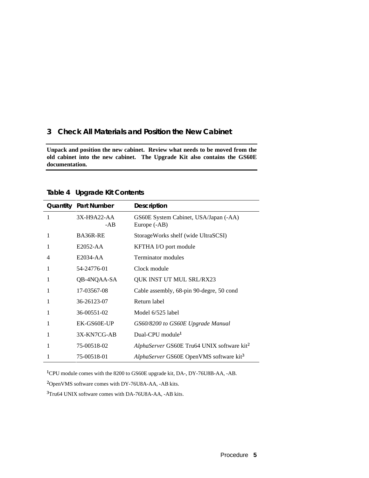#### **3 Check All Materials and Position the New Cabinet**

**Unpack and position the new cabinet. Review what needs to be moved from the old cabinet into the new cabinet. The Upgrade Kit also contains the GS60E documentation.**

|   | <b>Quantity Part Number</b> | <b>Description</b>                                     |
|---|-----------------------------|--------------------------------------------------------|
| 1 | 3X-H9A22-AA<br>-AB          | GS60E System Cabinet, USA/Japan (-AA)<br>Europe (-AB)  |
| 1 | BA36R-RE                    | StorageWorks shelf (wide UltraSCSI)                    |
| 1 | E2052-AA                    | KFTHA I/O port module                                  |
| 4 | E2034-AA                    | Terminator modules                                     |
| 1 | 54-24776-01                 | Clock module                                           |
| 1 | QB-4NQAA-SA                 | <b>QUK INST UT MUL SRL/RX23</b>                        |
| 1 | 17-03567-08                 | Cable assembly, 68-pin 90-degre, 50 cond               |
| 1 | 36-26123-07                 | Return label                                           |
|   | 36-00551-02                 | Model 6/525 label                                      |
| 1 | EK-GS60E-UP                 | GS60/8200 to GS60E Upgrade Manual                      |
|   | 3X-KN7CG-AB                 | Dual-CPU module <sup>1</sup>                           |
|   | 75-00518-02                 | AlphaServer GS60E Tru64 UNIX software kit <sup>2</sup> |
|   | 75-00518-01                 | AlphaServer GS60E OpenVMS software kit <sup>3</sup>    |

**Table 4 Upgrade Kit Contents**

<sup>1</sup>CPU module comes with the 8200 to GS60E upgrade kit, DA-, DY-76U8B-AA, -AB.

²OpenVMS software comes with DY-76U8A-AA, -AB kits.

³Tru64 UNIX software comes with DA-76U8A-AA, -AB kits.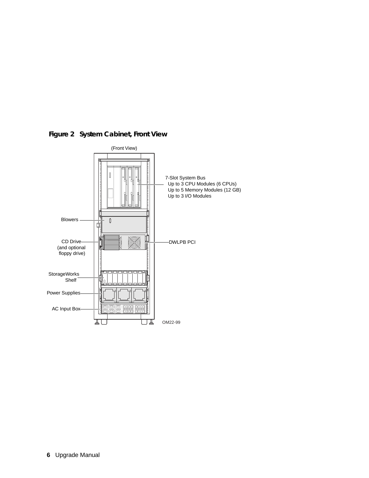

 **Figure 2 System Cabinet, Front View**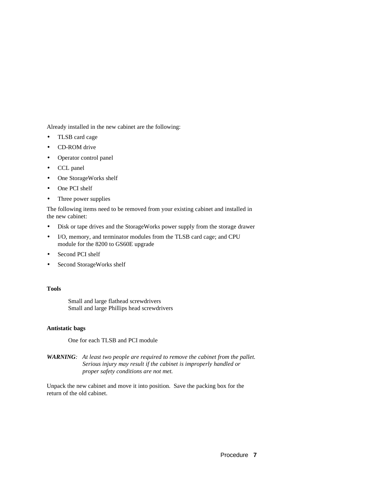Already installed in the new cabinet are the following:

- TLSB card cage
- CD-ROM drive
- Operator control panel
- CCL panel
- One StorageWorks shelf
- One PCI shelf
- Three power supplies

The following items need to be removed from your existing cabinet and installed in the new cabinet:

- Disk or tape drives and the StorageWorks power supply from the storage drawer
- I/O, memory, and terminator modules from the TLSB card cage; and CPU module for the 8200 to GS60E upgrade
- Second PCI shelf
- Second StorageWorks shelf

#### **Tools**

Small and large flathead screwdrivers Small and large Phillips head screwdrivers

#### **Antistatic bags**

One for each TLSB and PCI module

*WARNING: At least two people are required to remove the cabinet from the pallet. Serious injury may result if the cabinet is improperly handled or proper safety conditions are not met.*

Unpack the new cabinet and move it into position. Save the packing box for the return of the old cabinet.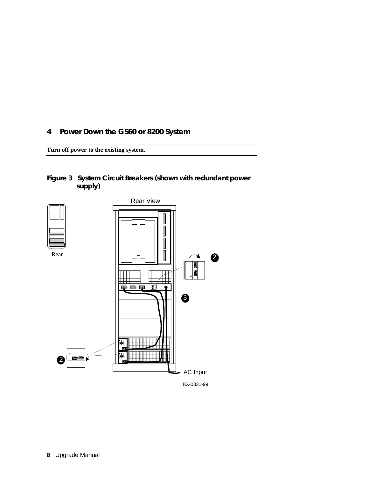**4 Power Down the GS60 or 8200 System**

**Turn off power to the existing system.**

**Figure 3 System Circuit Breakers (shown with redundant power supply)**

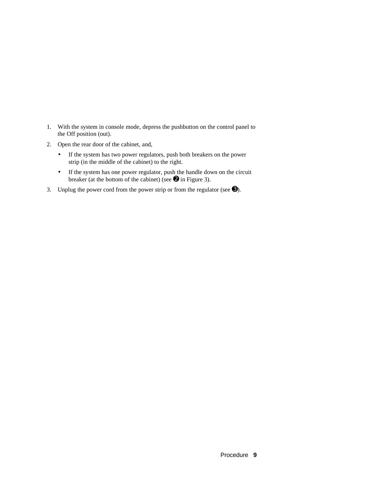- 1. With the system in console mode, depress the pushbutton on the control panel to the Off position (out).
- 2. Open the rear door of the cabinet, and,
	- If the system has two power regulators, push both breakers on the power strip (in the middle of the cabinet) to the right.
	- If the system has one power regulator, push the handle down on the circuit breaker (at the bottom of the cabinet) (see  $\bullet$  in Figure 3).
- 3. Unplug the power cord from the power strip or from the regulator (see  $\Theta$ ).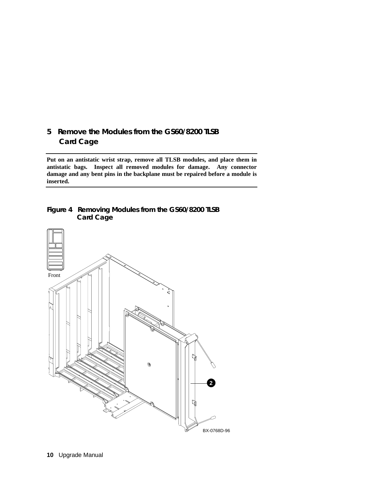## **5 Remove the Modules from the GS60/8200 TLSB Card Cage**

**Put on an antistatic wrist strap, remove all TLSB modules, and place them in antistatic bags. Inspect all removed modules for damage. Any connector damage and any bent pins in the backplane must be repaired before a module is inserted.**

#### **Figure 4 Removing Modules from the GS60/8200 TLSB Card Cage**

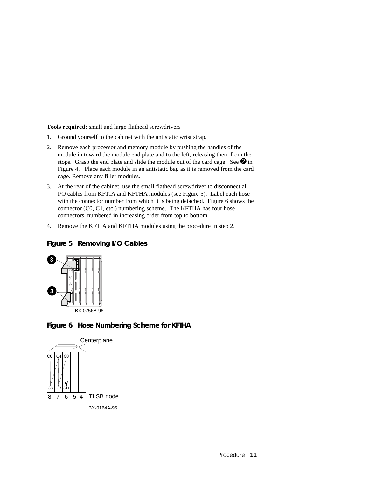**Tools required:** small and large flathead screwdrivers

- 1. Ground yourself to the cabinet with the antistatic wrist strap.
- 2. Remove each processor and memory module by pushing the handles of the module in toward the module end plate and to the left, releasing them from the stops. Grasp the end plate and slide the module out of the card cage. See  $\mathbf{\Theta}$  in Figure 4. Place each module in an antistatic bag as it is removed from the card cage. Remove any filler modules.
- 3. At the rear of the cabinet, use the small flathead screwdriver to disconnect all I/O cables from KFTIA and KFTHA modules (see Figure 5). Label each hose with the connector number from which it is being detached. Figure 6 shows the connector (C0, C1, etc.) numbering scheme. The KFTHA has four hose connectors, numbered in increasing order from top to bottom.
- 4. Remove the KFTIA and KFTHA modules using the procedure in step 2.



### **Figure 5 Removing I/O Cables**



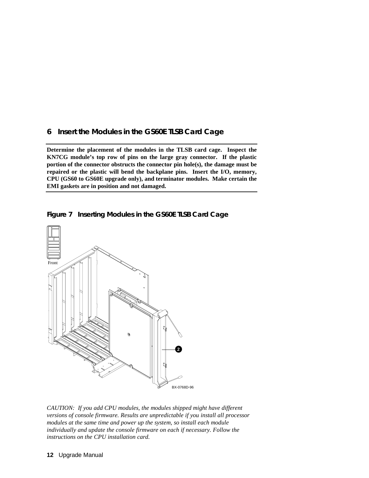### **6 Insert the Modules in the GS60E TLSB Card Cage**

**Determine the placement of the modules in the TLSB card cage. Inspect the KN7CG module's top row of pins on the large gray connector. If the plastic portion of the connector obstructs the connector pin hole(s), the damage must be repaired or the plastic will bend the backplane pins. Insert the I/O, memory, CPU (GS60 to GS60E upgrade only), and terminator modules. Make certain the EMI gaskets are in position and not damaged.**





*CAUTION: If you add CPU modules, the modules shipped might have different versions of console firmware. Results are unpredictable if you install all processor modules at the same time and power up the system, so install each module individually and update the console firmware on each if necessary. Follow the instructions on the CPU installation card.*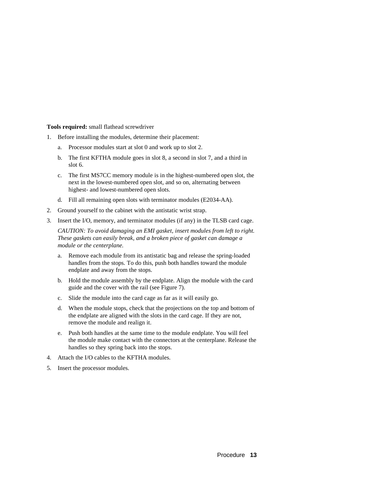**Tools required:** small flathead screwdriver

- 1. Before installing the modules, determine their placement:
	- a. Processor modules start at slot 0 and work up to slot 2.
	- b. The first KFTHA module goes in slot 8, a second in slot 7, and a third in slot 6.
	- c. The first MS7CC memory module is in the highest-numbered open slot, the next in the lowest-numbered open slot, and so on, alternating between highest- and lowest-numbered open slots.
	- d. Fill all remaining open slots with terminator modules (E2034-AA).
- 2. Ground yourself to the cabinet with the antistatic wrist strap.
- 3. Insert the I/O, memory, and terminator modules (if any) in the TLSB card cage.

*CAUTION: To avoid damaging an EMI gasket, insert modules from left to right. These gaskets can easily break, and a broken piece of gasket can damage a module or the centerplane.*

- a. Remove each module from its antistatic bag and release the spring-loaded handles from the stops. To do this, push both handles toward the module endplate and away from the stops.
- b. Hold the module assembly by the endplate. Align the module with the card guide and the cover with the rail (see Figure 7).
- c. Slide the module into the card cage as far as it will easily go.
- d. When the module stops, check that the projections on the top and bottom of the endplate are aligned with the slots in the card cage. If they are not, remove the module and realign it.
- e. Push both handles at the same time to the module endplate. You will feel the module make contact with the connectors at the centerplane. Release the handles so they spring back into the stops.
- 4. Attach the I/O cables to the KFTHA modules.
- 5. Insert the processor modules.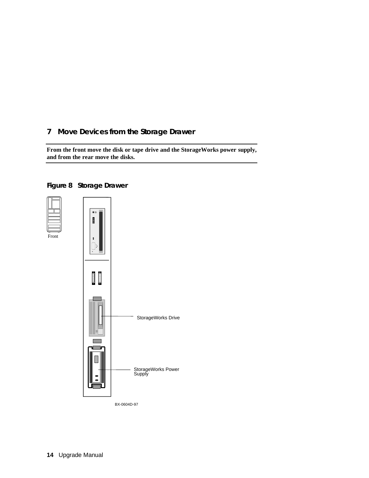## **7 Move Devices from the Storage Drawer**

**From the front move the disk or tape drive and the StorageWorks power supply, and from the rear move the disks.**

#### **Figure 8 Storage Drawer**



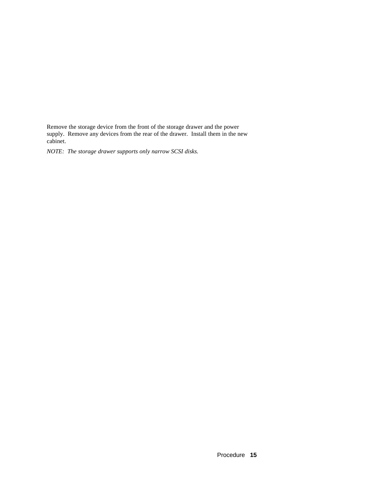Remove the storage device from the front of the storage drawer and the power supply. Remove any devices from the rear of the drawer. Install them in the new cabinet.

*NOTE: The storage drawer supports only narrow SCSI disks.*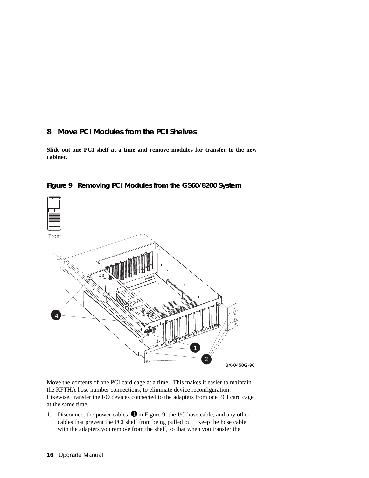### **8 Move PCI Modules from the PCI Shelves**

**Slide out one PCI shelf at a time and remove modules for transfer to the new cabinet.**





Move the contents of one PCI card cage at a time. This makes it easier to maintain the KFTHA hose number connections, to eliminate device reconfiguration. Likewise, transfer the I/O devices connected to the adapters from one PCI card cage at the same time.

1. Disconnect the power cables,  $\bullet$  in Figure 9, the I/O hose cable, and any other cables that prevent the PCI shelf from being pulled out. Keep the hose cable with the adapters you remove from the shelf, so that when you transfer the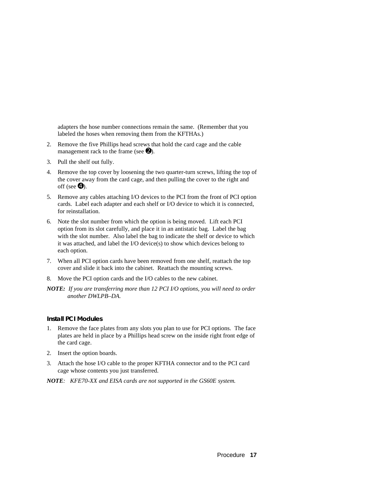adapters the hose number connections remain the same. (Remember that you labeled the hoses when removing them from the KFTHAs.)

- 2. Remove the five Phillips head screws that hold the card cage and the cable management rack to the frame (see  $\bullet$ ).
- 3. Pull the shelf out fully.
- 4. Remove the top cover by loosening the two quarter-turn screws, lifting the top of the cover away from the card cage, and then pulling the cover to the right and off (see  $\bullet$ ).
- 5. Remove any cables attaching I/O devices to the PCI from the front of PCI option cards. Label each adapter and each shelf or I/O device to which it is connected, for reinstallation.
- 6. Note the slot number from which the option is being moved. Lift each PCI option from its slot carefully, and place it in an antistatic bag. Label the bag with the slot number. Also label the bag to indicate the shelf or device to which it was attached, and label the I/O device(s) to show which devices belong to each option.
- 7. When all PCI option cards have been removed from one shelf, reattach the top cover and slide it back into the cabinet. Reattach the mounting screws.
- 8. Move the PCI option cards and the I/O cables to the new cabinet.
- *NOTE: If you are transferring more than 12 PCI I/O options, you will need to order another DWLPB–DA.*

#### **Install PCI Modules**

- 1. Remove the face plates from any slots you plan to use for PCI options. The face plates are held in place by a Phillips head screw on the inside right front edge of the card cage.
- 2. Insert the option boards.
- 3. Attach the hose I/O cable to the proper KFTHA connector and to the PCI card cage whose contents you just transferred.
- *NOTE: KFE70-XX and EISA cards are not supported in the GS60E system.*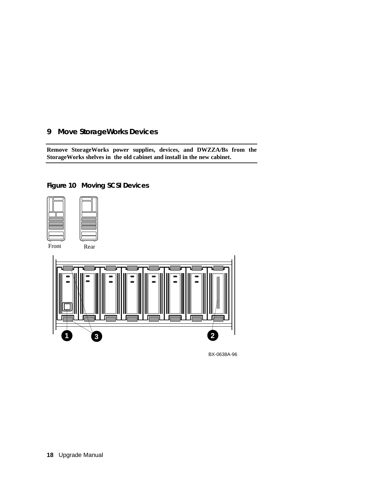## **9 Move StorageWorks Devices**

**Remove StorageWorks power supplies, devices, and DWZZA/Bs from the StorageWorks shelves in the old cabinet and install in the new cabinet.**



#### **Figure 10 Moving SCSI Devices**

BX-0638A-96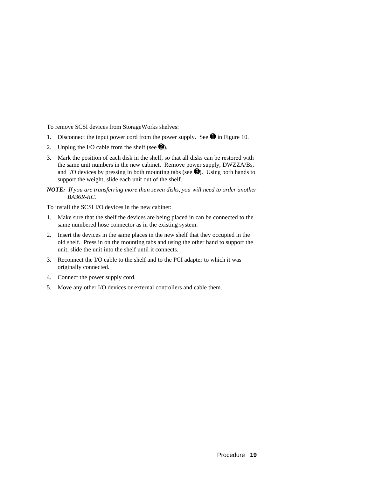To remove SCSI devices from StorageWorks shelves:

- 1. Disconnect the input power cord from the power supply. See  $\bullet$  in Figure 10.
- 2. Unplug the I/O cable from the shelf (see  $\bullet$ ).
- 3. Mark the position of each disk in the shelf, so that all disks can be restored with the same unit numbers in the new cabinet. Remove power supply, DWZZA/Bs, and I/O devices by pressing in both mounting tabs (see  $\bigcirc$ ). Using both hands to support the weight, slide each unit out of the shelf.
- *NOTE: If you are transferring more than seven disks, you will need to order another BA36R-RC.*

To install the SCSI I/O devices in the new cabinet:

- 1. Make sure that the shelf the devices are being placed in can be connected to the same numbered hose connector as in the existing system.
- 2. Insert the devices in the same places in the new shelf that they occupied in the old shelf. Press in on the mounting tabs and using the other hand to support the unit, slide the unit into the shelf until it connects.
- 3. Reconnect the I/O cable to the shelf and to the PCI adapter to which it was originally connected.
- 4. Connect the power supply cord.
- 5. Move any other I/O devices or external controllers and cable them.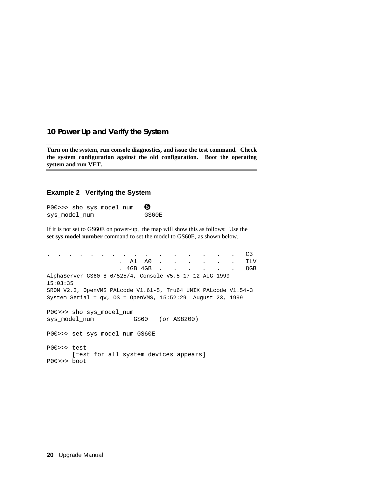#### **10 Power Up and Verify the System**

**Turn on the system, run console diagnostics, and issue the test command. Check the system configuration against the old configuration. Boot the operating system and run VET.**

#### **Example 2 Verifying the System**

P00>>> sho sys\_model\_num <sup>O</sup> sys\_model\_num GS60E

If it is not set to GS60E on power-up, the map will show this as follows: Use the **set sys model number** command to set the model to GS60E, as shown below.

. . . . . . . . . . . . . . . . C3 . Al A0 . . . . . . ILV . 4GB 4GB . . . . . . 8GB AlphaServer GS60 8-6/525/4, Console V5.5-17 12-AUG-1999 15:03:35 SROM V2.3, OpenVMS PALcode V1.61-5, Tru64 UNIX PALcode V1.54-3 System Serial = qv, OS = OpenVMS, 15:52:29 August 23, 1999 P00>>> sho sys\_model\_num sys\_model\_num GS60 (or AS8200) P00>>> set sys\_model\_num GS60E P00>>> test [test for all system devices appears] P00>>> boot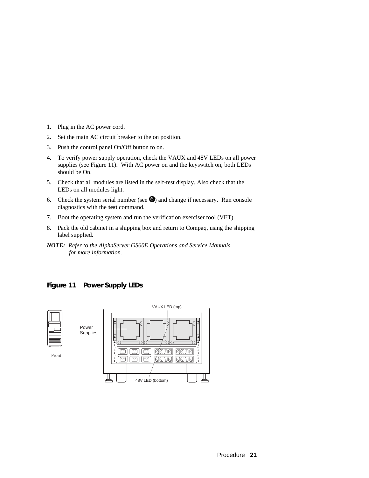- 1. Plug in the AC power cord.
- 2. Set the main AC circuit breaker to the on position.
- 3. Push the control panel On/Off button to on.
- 4. To verify power supply operation, check the VAUX and 48V LEDs on all power supplies (see Figure 11). With AC power on and the keyswitch on, both LEDs should be On.
- 5. Check that all modules are listed in the self-test display. Also check that the LEDs on all modules light.
- 6. Check the system serial number (see  $\Theta$ ) and change if necessary. Run console diagnostics with the **test** command.
- 7. Boot the operating system and run the verification exerciser tool (VET).
- 8. Pack the old cabinet in a shipping box and return to Compaq, using the shipping label supplied.
- *NOTE: Refer to the AlphaServer GS60E Operations and Service Manuals for more information.*

### **Figure 11 Power Supply LEDs**